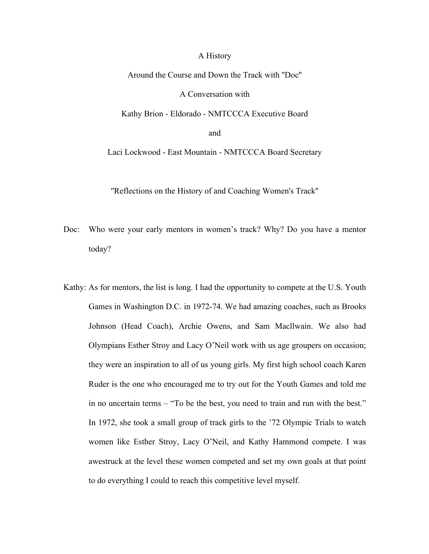## A History

Around the Course and Down the Track with ''Doc'' A Conversation with

Kathy Brion - Eldorado - NMTCCCA Executive Board

and

Laci Lockwood - East Mountain - NMTCCCA Board Secretary

''Reflections on the History of and Coaching Women's Track''

- Doc: Who were your early mentors in women's track? Why? Do you have a mentor today?
- Kathy: As for mentors, the list is long. I had the opportunity to compete at the U.S. Youth Games in Washington D.C. in 1972-74. We had amazing coaches, such as Brooks Johnson (Head Coach), Archie Owens, and Sam Macllwain. We also had Olympians Esther Stroy and Lacy O'Neil work with us age groupers on occasion; they were an inspiration to all of us young girls. My first high school coach Karen Ruder is the one who encouraged me to try out for the Youth Games and told me in no uncertain terms – "To be the best, you need to train and run with the best." In 1972, she took a small group of track girls to the '72 Olympic Trials to watch women like Esther Stroy, Lacy O'Neil, and Kathy Hammond compete. I was awestruck at the level these women competed and set my own goals at that point to do everything I could to reach this competitive level myself.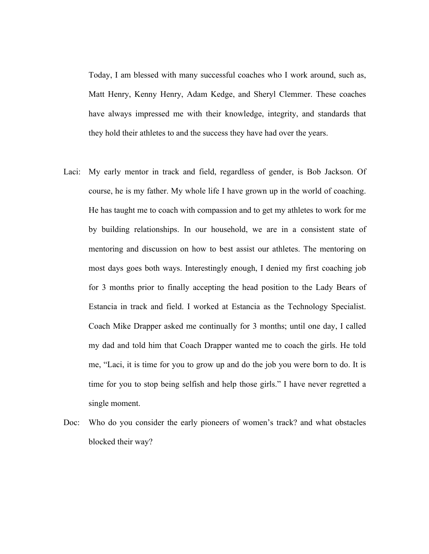Today, I am blessed with many successful coaches who I work around, such as, Matt Henry, Kenny Henry, Adam Kedge, and Sheryl Clemmer. These coaches have always impressed me with their knowledge, integrity, and standards that they hold their athletes to and the success they have had over the years.

- Laci: My early mentor in track and field, regardless of gender, is Bob Jackson. Of course, he is my father. My whole life I have grown up in the world of coaching. He has taught me to coach with compassion and to get my athletes to work for me by building relationships. In our household, we are in a consistent state of mentoring and discussion on how to best assist our athletes. The mentoring on most days goes both ways. Interestingly enough, I denied my first coaching job for 3 months prior to finally accepting the head position to the Lady Bears of Estancia in track and field. I worked at Estancia as the Technology Specialist. Coach Mike Drapper asked me continually for 3 months; until one day, I called my dad and told him that Coach Drapper wanted me to coach the girls. He told me, "Laci, it is time for you to grow up and do the job you were born to do. It is time for you to stop being selfish and help those girls." I have never regretted a single moment.
- Doc: Who do you consider the early pioneers of women's track? and what obstacles blocked their way?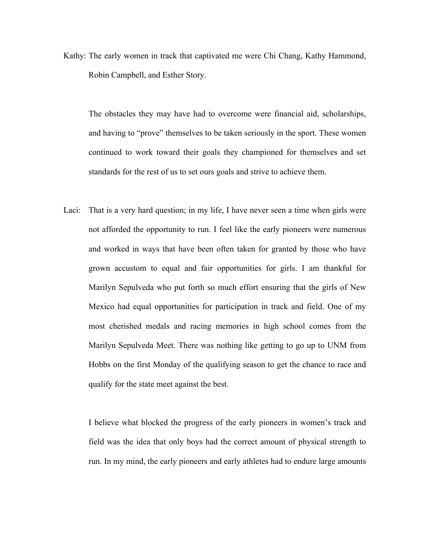Kathy: The early women in track that captivated me were Chi Chang, Kathy Hammond, Robin Campbell, and Esther Story.

The obstacles they may have had to overcome were financial aid, scholarships, and having to "prove" themselves to be taken seriously in the sport. These women continued to work toward their goals they championed for themselves and set standards for the rest of us to set ours goals and strive to achieve them.

Laci: That is a very hard question; in my life, I have never seen a time when girls were not afforded the opportunity to run. I feel like the early pioneers were numerous and worked in ways that have been often taken for granted by those who have grown accustom to equal and fair opportunities for girls. I am thankful for Marilyn Sepulveda who put forth so much effort ensuring that the girls of New Mexico had equal opportunities for participation in track and field. One of my most cherished medals and racing memories in high school comes from the Marilyn Sepulveda Meet. There was nothing like getting to go up to UNM from Hobbs on the first Monday of the qualifying season to get the chance to race and qualify for the state meet against the best.

I believe what blocked the progress of the early pioneers in women's track and field was the idea that only boys had the correct amount of physical strength to run. In my mind, the early pioneers and early athletes had to endure large amounts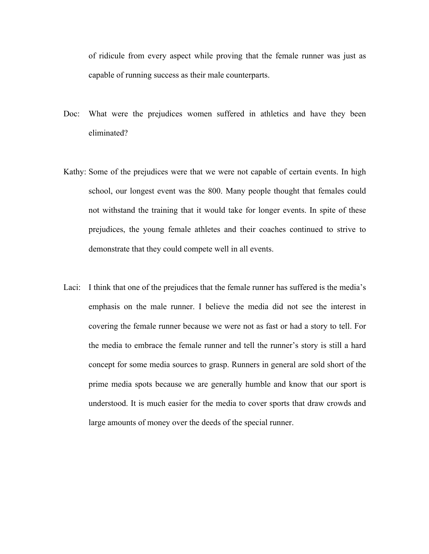of ridicule from every aspect while proving that the female runner was just as capable of running success as their male counterparts.

- Doc: What were the prejudices women suffered in athletics and have they been eliminated?
- Kathy: Some of the prejudices were that we were not capable of certain events. In high school, our longest event was the 800. Many people thought that females could not withstand the training that it would take for longer events. In spite of these prejudices, the young female athletes and their coaches continued to strive to demonstrate that they could compete well in all events.
- Laci: I think that one of the prejudices that the female runner has suffered is the media's emphasis on the male runner. I believe the media did not see the interest in covering the female runner because we were not as fast or had a story to tell. For the media to embrace the female runner and tell the runner's story is still a hard concept for some media sources to grasp. Runners in general are sold short of the prime media spots because we are generally humble and know that our sport is understood. It is much easier for the media to cover sports that draw crowds and large amounts of money over the deeds of the special runner.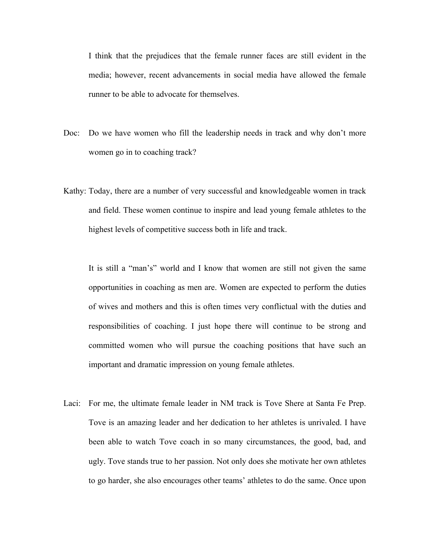I think that the prejudices that the female runner faces are still evident in the media; however, recent advancements in social media have allowed the female runner to be able to advocate for themselves.

- Doc: Do we have women who fill the leadership needs in track and why don't more women go in to coaching track?
- Kathy: Today, there are a number of very successful and knowledgeable women in track and field. These women continue to inspire and lead young female athletes to the highest levels of competitive success both in life and track.

It is still a "man's" world and I know that women are still not given the same opportunities in coaching as men are. Women are expected to perform the duties of wives and mothers and this is often times very conflictual with the duties and responsibilities of coaching. I just hope there will continue to be strong and committed women who will pursue the coaching positions that have such an important and dramatic impression on young female athletes.

Laci: For me, the ultimate female leader in NM track is Tove Shere at Santa Fe Prep. Tove is an amazing leader and her dedication to her athletes is unrivaled. I have been able to watch Tove coach in so many circumstances, the good, bad, and ugly. Tove stands true to her passion. Not only does she motivate her own athletes to go harder, she also encourages other teams' athletes to do the same. Once upon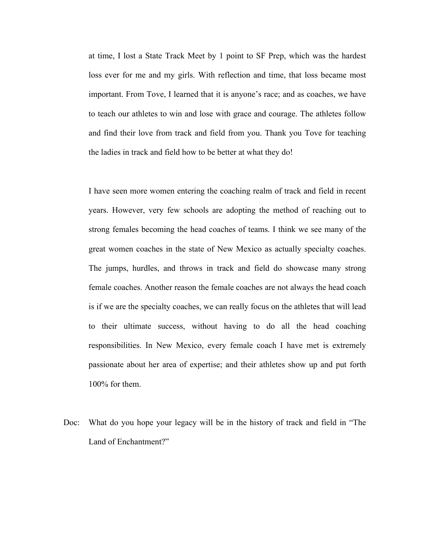at time, I lost a State Track Meet by 1 point to SF Prep, which was the hardest loss ever for me and my girls. With reflection and time, that loss became most important. From Tove, I learned that it is anyone's race; and as coaches, we have to teach our athletes to win and lose with grace and courage. The athletes follow and find their love from track and field from you. Thank you Tove for teaching the ladies in track and field how to be better at what they do!

I have seen more women entering the coaching realm of track and field in recent years. However, very few schools are adopting the method of reaching out to strong females becoming the head coaches of teams. I think we see many of the great women coaches in the state of New Mexico as actually specialty coaches. The jumps, hurdles, and throws in track and field do showcase many strong female coaches. Another reason the female coaches are not always the head coach is if we are the specialty coaches, we can really focus on the athletes that will lead to their ultimate success, without having to do all the head coaching responsibilities. In New Mexico, every female coach I have met is extremely passionate about her area of expertise; and their athletes show up and put forth 100% for them.

Doc: What do you hope your legacy will be in the history of track and field in "The Land of Enchantment?"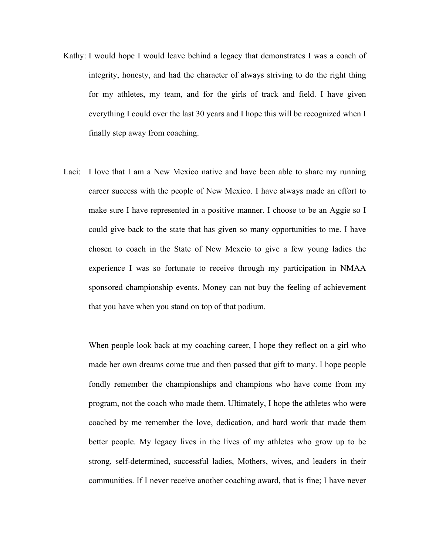- Kathy: I would hope I would leave behind a legacy that demonstrates I was a coach of integrity, honesty, and had the character of always striving to do the right thing for my athletes, my team, and for the girls of track and field. I have given everything I could over the last 30 years and I hope this will be recognized when I finally step away from coaching.
- Laci: I love that I am a New Mexico native and have been able to share my running career success with the people of New Mexico. I have always made an effort to make sure I have represented in a positive manner. I choose to be an Aggie so I could give back to the state that has given so many opportunities to me. I have chosen to coach in the State of New Mexcio to give a few young ladies the experience I was so fortunate to receive through my participation in NMAA sponsored championship events. Money can not buy the feeling of achievement that you have when you stand on top of that podium.

When people look back at my coaching career, I hope they reflect on a girl who made her own dreams come true and then passed that gift to many. I hope people fondly remember the championships and champions who have come from my program, not the coach who made them. Ultimately, I hope the athletes who were coached by me remember the love, dedication, and hard work that made them better people. My legacy lives in the lives of my athletes who grow up to be strong, self-determined, successful ladies, Mothers, wives, and leaders in their communities. If I never receive another coaching award, that is fine; I have never